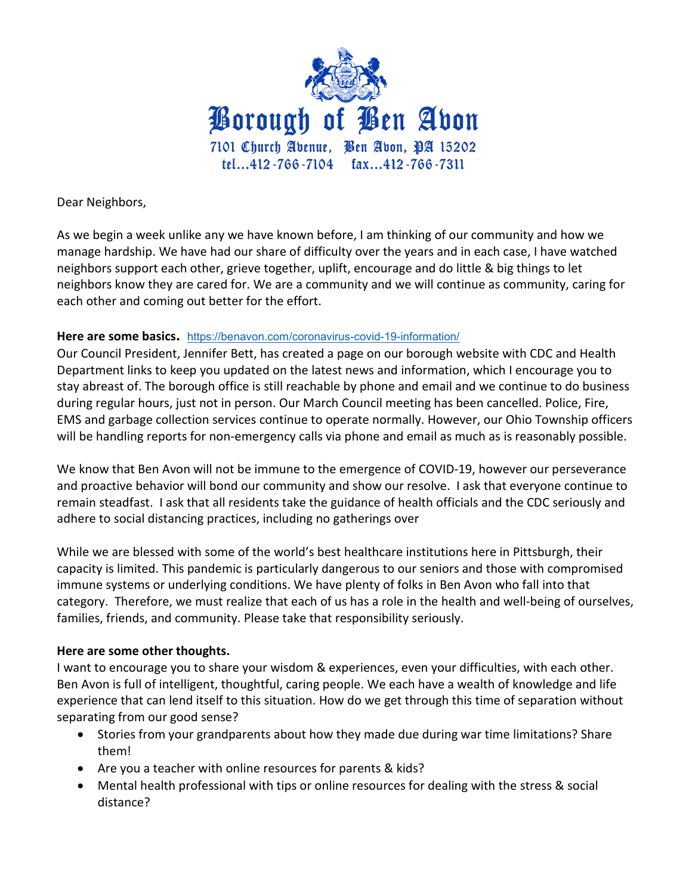

Dear Neighbors,

As we begin a week unlike any we have known before, I am thinking of our community and how we manage hardship. We have had our share of difficulty over the years and in each case, I have watched neighbors support each other, grieve together, uplift, encourage and do little & big things to let neighbors know they are cared for. We are a community and we will continue as community, caring for each other and coming out better for the effort.

## **Here are some basics.** <https://benavon.com/coronavirus-covid-19-information/>

Our Council President, Jennifer Bett, has created a page on our borough website with CDC and Health Department links to keep you updated on the latest news and information, which I encourage you to stay abreast of. The borough office is still reachable by phone and email and we continue to do business during regular hours, just not in person. Our March Council meeting has been cancelled. Police, Fire, EMS and garbage collection services continue to operate normally. However, our Ohio Township officers will be handling reports for non-emergency calls via phone and email as much as is reasonably possible.

We know that Ben Avon will not be immune to the emergence of COVID-19, however our perseverance and proactive behavior will bond our community and show our resolve. I ask that everyone continue to remain steadfast. I ask that all residents take the guidance of health officials and the CDC seriously and adhere to social distancing practices, including no gatherings over

While we are blessed with some of the world's best healthcare institutions here in Pittsburgh, their capacity is limited. This pandemic is particularly dangerous to our seniors and those with compromised immune systems or underlying conditions. We have plenty of folks in Ben Avon who fall into that category. Therefore, we must realize that each of us has a role in the health and well-being of ourselves, families, friends, and community. Please take that responsibility seriously.

## **Here are some other thoughts.**

I want to encourage you to share your wisdom & experiences, even your difficulties, with each other. Ben Avon is full of intelligent, thoughtful, caring people. We each have a wealth of knowledge and life experience that can lend itself to this situation. How do we get through this time of separation without separating from our good sense?

- Stories from your grandparents about how they made due during war time limitations? Share them!
- Are you a teacher with online resources for parents & kids?
- Mental health professional with tips or online resources for dealing with the stress & social distance?